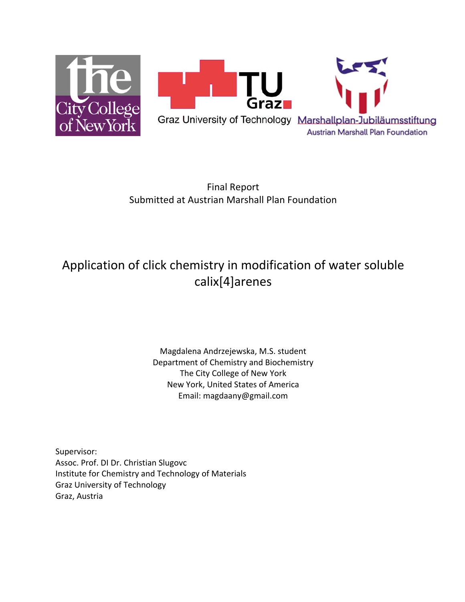

Final Report Submitted at Austrian Marshall Plan Foundation

# Application of click chemistry in modification of water soluble calix[4]arenes

Magdalena Andrzejewska, M.S. student Department of Chemistry and Biochemistry The City College of New York New York, United States of America Email: magdaany@gmail.com

Supervisor: Assoc. Prof. DI Dr. Christian Slugovc Institute for Chemistry and Technology of Materials Graz University of Technology Graz, Austria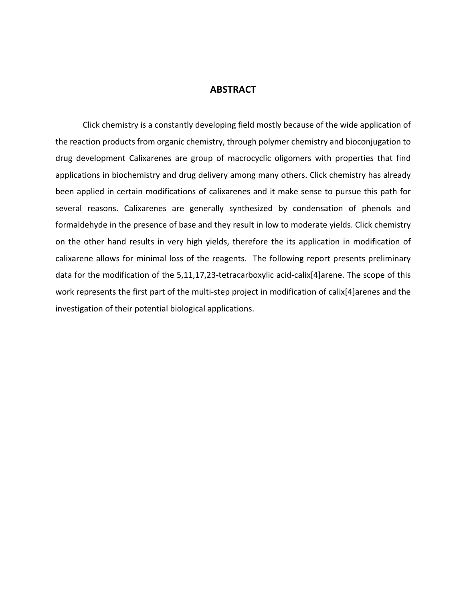# **ABSTRACT**

Click chemistry is a constantly developing field mostly because of the wide application of the reaction products from organic chemistry, through polymer chemistry and bioconjugation to drug development Calixarenes are group of macrocyclic oligomers with properties that find applications in biochemistry and drug delivery among many others. Click chemistry has already been applied in certain modifications of calixarenes and it make sense to pursue this path for several reasons. Calixarenes are generally synthesized by condensation of phenols and formaldehyde in the presence of base and they result in low to moderate yields. Click chemistry on the other hand results in very high yields, therefore the its application in modification of calixarene allows for minimal loss of the reagents. The following report presents preliminary data for the modification of the 5,11,17,23-tetracarboxylic acid-calix[4]arene. The scope of this work represents the first part of the multi-step project in modification of calix[4]arenes and the investigation of their potential biological applications.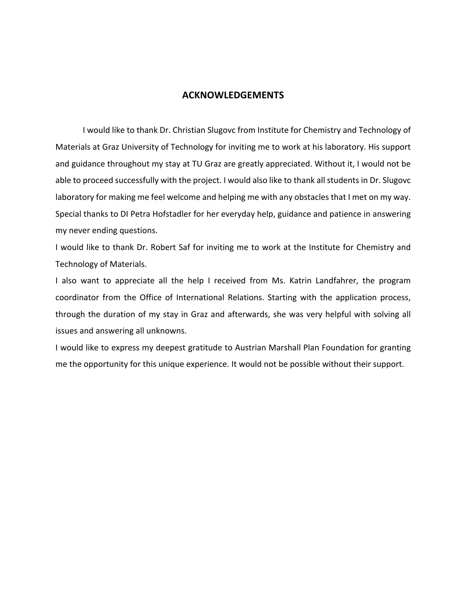## **ACKNOWLEDGEMENTS**

I would like to thank Dr. Christian Slugovc from Institute for Chemistry and Technology of Materials at Graz University of Technology for inviting me to work at his laboratory. His support and guidance throughout my stay at TU Graz are greatly appreciated. Without it, I would not be able to proceed successfully with the project. I would also like to thank all students in Dr. Slugovc laboratory for making me feel welcome and helping me with any obstacles that I met on my way. Special thanks to DI Petra Hofstadler for her everyday help, guidance and patience in answering my never ending questions.

I would like to thank Dr. Robert Saf for inviting me to work at the Institute for Chemistry and Technology of Materials.

I also want to appreciate all the help I received from Ms. Katrin Landfahrer, the program coordinator from the Office of International Relations. Starting with the application process, through the duration of my stay in Graz and afterwards, she was very helpful with solving all issues and answering all unknowns.

I would like to express my deepest gratitude to Austrian Marshall Plan Foundation for granting me the opportunity for this unique experience. It would not be possible without their support.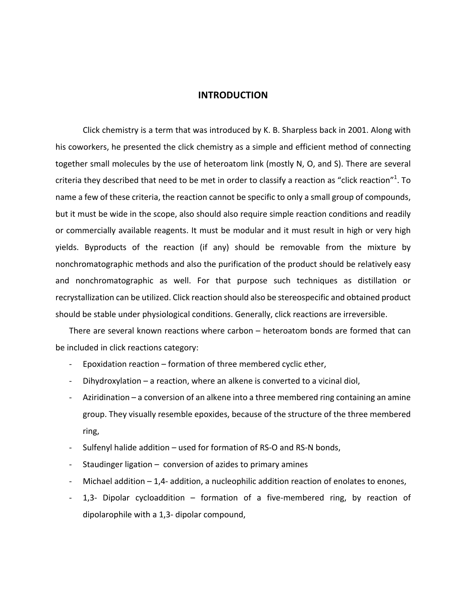## **INTRODUCTION**

Click chemistry is a term that was introduced by K. B. Sharpless back in 2001. Along with his coworkers, he presented the click chemistry as a simple and efficient method of connecting together small molecules by the use of heteroatom link (mostly N, O, and S). There are several criteria they described that need to be met in order to classify a reaction as "click reaction"<sup>1</sup>. To name a few of these criteria, the reaction cannot be specific to only a small group of compounds, but it must be wide in the scope, also should also require simple reaction conditions and readily or commercially available reagents. It must be modular and it must result in high or very high yields. Byproducts of the reaction (if any) should be removable from the mixture by nonchromatographic methods and also the purification of the product should be relatively easy and nonchromatographic as well. For that purpose such techniques as distillation or recrystallization can be utilized. Click reaction should also be stereospecific and obtained product should be stable under physiological conditions. Generally, click reactions are irreversible.

There are several known reactions where carbon  $-$  heteroatom bonds are formed that can be included in click reactions category:

- Epoxidation reaction  $-$  formation of three membered cyclic ether,
- Dihydroxylation a reaction, where an alkene is converted to a vicinal diol,
- Aziridination a conversion of an alkene into a three membered ring containing an amine group. They visually resemble epoxides, because of the structure of the three membered ring,
- Sulfenyl halide addition used for formation of RS-O and RS-N bonds,
- Staudinger ligation  $-$  conversion of azides to primary amines
- Michael addition  $-1.4$  addition, a nucleophilic addition reaction of enolates to enones,
- 1,3- Dipolar cycloaddition  $-$  formation of a five-membered ring, by reaction of dipolarophile with a 1,3- dipolar compound,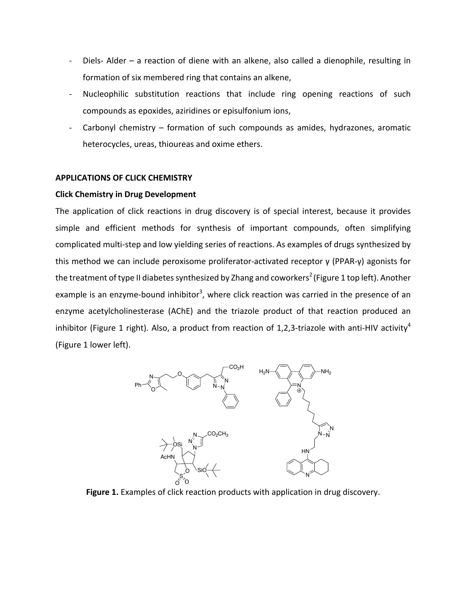- Diels- Alder a reaction of diene with an alkene, also called a dienophile, resulting in formation of six membered ring that contains an alkene,
- Nucleophilic substitution reactions that include ring opening reactions of such compounds as epoxides, aziridines or episulfonium ions,
- Carbonyl chemistry  $-$  formation of such compounds as amides, hydrazones, aromatic heterocycles, ureas, thioureas and oxime ethers.

## **APPLICATIONS OF CLICK CHEMISTRY**

## **Click Chemistry in Drug Development**

The application of click reactions in drug discovery is of special interest, because it provides simple and efficient methods for synthesis of important compounds, often simplifying complicated multi-step and low yielding series of reactions. As examples of drugs synthesized by this method we can include peroxisome proliferator-activated receptor  $\gamma$  (PPAR- $\gamma$ ) agonists for the treatment of type II diabetes synthesized by Zhang and coworkers $^2$  (Figure 1 top left). Another example is an enzyme-bound inhibitor<sup>3</sup>, where click reaction was carried in the presence of an enzyme acetylcholinesterase (AChE) and the triazole product of that reaction produced an inhibitor (Figure 1 right). Also, a product from reaction of 1,2,3-triazole with anti-HIV activity<sup>4</sup> (Figure 1 lower left). 



Figure 1. Examples of click reaction products with application in drug discovery.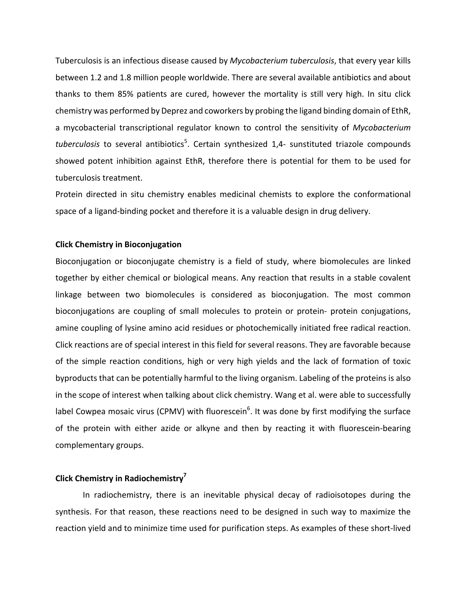Tuberculosis is an infectious disease caused by *Mycobacterium tuberculosis*, that every year kills between 1.2 and 1.8 million people worldwide. There are several available antibiotics and about thanks to them 85% patients are cured, however the mortality is still very high. In situ click chemistry was performed by Deprez and coworkers by probing the ligand binding domain of EthR, a mycobacterial transcriptional regulator known to control the sensitivity of *Mycobacterium* tuberculosis to several antibiotics<sup>5</sup>. Certain synthesized 1,4- sunstituted triazole compounds showed potent inhibition against EthR, therefore there is potential for them to be used for tuberculosis treatment.

Protein directed in situ chemistry enables medicinal chemists to explore the conformational space of a ligand-binding pocket and therefore it is a valuable design in drug delivery.

## **Click Chemistry in Bioconjugation**

Bioconjugation or bioconjugate chemistry is a field of study, where biomolecules are linked together by either chemical or biological means. Any reaction that results in a stable covalent linkage between two biomolecules is considered as bioconjugation. The most common bioconjugations are coupling of small molecules to protein or protein- protein conjugations, amine coupling of lysine amino acid residues or photochemically initiated free radical reaction. Click reactions are of special interest in this field for several reasons. They are favorable because of the simple reaction conditions, high or very high yields and the lack of formation of toxic byproducts that can be potentially harmful to the living organism. Labeling of the proteins is also in the scope of interest when talking about click chemistry. Wang et al. were able to successfully label Cowpea mosaic virus (CPMV) with fluorescein<sup>6</sup>. It was done by first modifying the surface of the protein with either azide or alkyne and then by reacting it with fluorescein-bearing complementary groups.

## **Click Chemistry in Radiochemistry<sup>7</sup>**

In radiochemistry, there is an inevitable physical decay of radioisotopes during the synthesis. For that reason, these reactions need to be designed in such way to maximize the reaction yield and to minimize time used for purification steps. As examples of these short-lived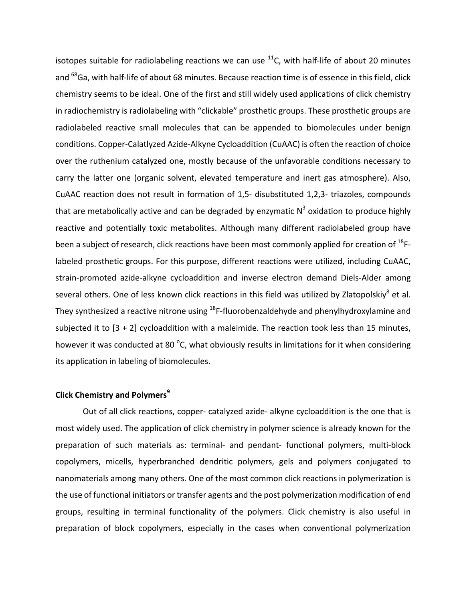isotopes suitable for radiolabeling reactions we can use  $^{11}$ C, with half-life of about 20 minutes and <sup>68</sup>Ga, with half-life of about 68 minutes. Because reaction time is of essence in this field, click chemistry seems to be ideal. One of the first and still widely used applications of click chemistry in radiochemistry is radiolabeling with "clickable" prosthetic groups. These prosthetic groups are radiolabeled reactive small molecules that can be appended to biomolecules under benign conditions. Copper-Calatlyzed Azide-Alkyne Cycloaddition (CuAAC) is often the reaction of choice over the ruthenium catalyzed one, mostly because of the unfavorable conditions necessary to carry the latter one (organic solvent, elevated temperature and inert gas atmosphere). Also, CuAAC reaction does not result in formation of 1,5- disubstituted 1,2,3- triazoles, compounds that are metabolically active and can be degraded by enzymatic  $N^3$  oxidation to produce highly reactive and potentially toxic metabolites. Although many different radiolabeled group have been a subject of research, click reactions have been most commonly applied for creation of  $^{18}$ Flabeled prosthetic groups. For this purpose, different reactions were utilized, including CuAAC, strain-promoted azide-alkyne cycloaddition and inverse electron demand Diels-Alder among several others. One of less known click reactions in this field was utilized by Zlatopolskiy<sup>8</sup> et al. They synthesized a reactive nitrone using  $18F$ -fluorobenzaldehyde and phenylhydroxylamine and subjected it to  $[3 + 2]$  cycloaddition with a maleimide. The reaction took less than 15 minutes, however it was conducted at 80 °C, what obviously results in limitations for it when considering its application in labeling of biomolecules.

# **Click Chemistry and Polymers<sup>9</sup>**

Out of all click reactions, copper- catalyzed azide- alkyne cycloaddition is the one that is most widely used. The application of click chemistry in polymer science is already known for the preparation of such materials as: terminal- and pendant- functional polymers, multi-block copolymers, micells, hyperbranched dendritic polymers, gels and polymers conjugated to nanomaterials among many others. One of the most common click reactions in polymerization is the use of functional initiators or transfer agents and the post polymerization modification of end groups, resulting in terminal functionality of the polymers. Click chemistry is also useful in preparation of block copolymers, especially in the cases when conventional polymerization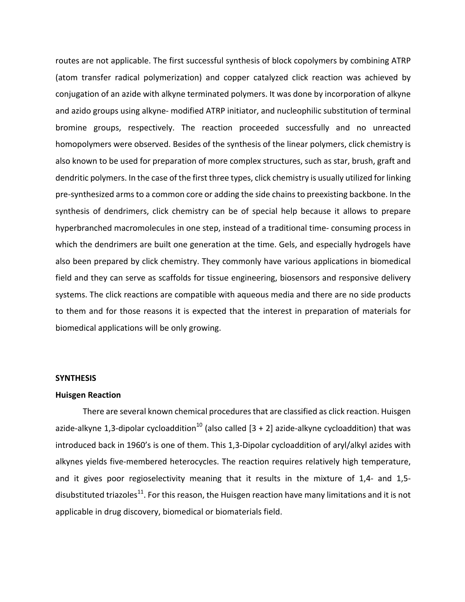routes are not applicable. The first successful synthesis of block copolymers by combining ATRP (atom transfer radical polymerization) and copper catalyzed click reaction was achieved by conjugation of an azide with alkyne terminated polymers. It was done by incorporation of alkyne and azido groups using alkyne- modified ATRP initiator, and nucleophilic substitution of terminal bromine groups, respectively. The reaction proceeded successfully and no unreacted homopolymers were observed. Besides of the synthesis of the linear polymers, click chemistry is also known to be used for preparation of more complex structures, such as star, brush, graft and dendritic polymers. In the case of the first three types, click chemistry is usually utilized for linking pre-synthesized arms to a common core or adding the side chains to preexisting backbone. In the synthesis of dendrimers, click chemistry can be of special help because it allows to prepare hyperbranched macromolecules in one step, instead of a traditional time- consuming process in which the dendrimers are built one generation at the time. Gels, and especially hydrogels have also been prepared by click chemistry. They commonly have various applications in biomedical field and they can serve as scaffolds for tissue engineering, biosensors and responsive delivery systems. The click reactions are compatible with aqueous media and there are no side products to them and for those reasons it is expected that the interest in preparation of materials for biomedical applications will be only growing.

#### **SYNTHESIS**

#### **Huisgen Reaction**

There are several known chemical procedures that are classified as click reaction. Huisgen azide-alkyne 1,3-dipolar cycloaddition<sup>10</sup> (also called  $[3 + 2]$  azide-alkyne cycloaddition) that was introduced back in 1960's is one of them. This 1,3-Dipolar cycloaddition of aryl/alkyl azides with alkynes yields five-membered heterocycles. The reaction requires relatively high temperature, and it gives poor regioselectivity meaning that it results in the mixture of 1,4- and 1,5disubstituted triazoles $^{11}$ . For this reason, the Huisgen reaction have many limitations and it is not applicable in drug discovery, biomedical or biomaterials field.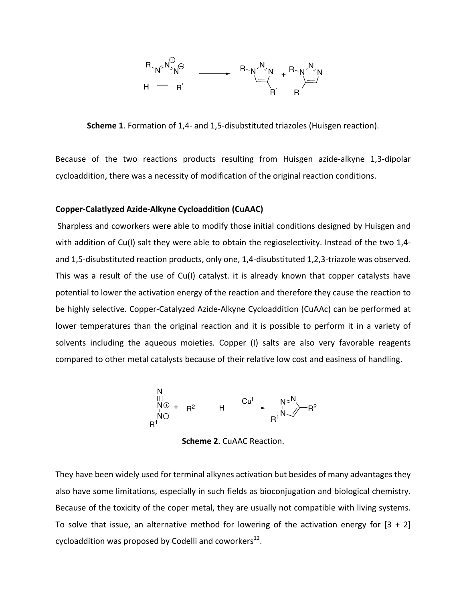

**Scheme 1**. Formation of 1,4- and 1,5-disubstituted triazoles (Huisgen reaction).

Because of the two reactions products resulting from Huisgen azide-alkyne 1,3-dipolar cycloaddition, there was a necessity of modification of the original reaction conditions.

## **Copper-Calatlyzed Azide-Alkyne Cycloaddition (CuAAC)**

Sharpless and coworkers were able to modify those initial conditions designed by Huisgen and with addition of Cu(I) salt they were able to obtain the regioselectivity. Instead of the two 1,4and 1,5-disubstituted reaction products, only one, 1,4-disubstituted 1,2,3-triazole was observed. This was a result of the use of Cu(I) catalyst. it is already known that copper catalysts have potential to lower the activation energy of the reaction and therefore they cause the reaction to be highly selective. Copper-Catalyzed Azide-Alkyne Cycloaddition (CuAAc) can be performed at lower temperatures than the original reaction and it is possible to perform it in a variety of solvents including the aqueous moieties. Copper (I) salts are also very favorable reagents compared to other metal catalysts because of their relative low cost and easiness of handling.



**Scheme 2. CuAAC Reaction.** 

They have been widely used for terminal alkynes activation but besides of many advantages they also have some limitations, especially in such fields as bioconjugation and biological chemistry. Because of the toxicity of the coper metal, they are usually not compatible with living systems. To solve that issue, an alternative method for lowering of the activation energy for  $[3 + 2]$ cycloaddition was proposed by Codelli and coworkers<sup>12</sup>.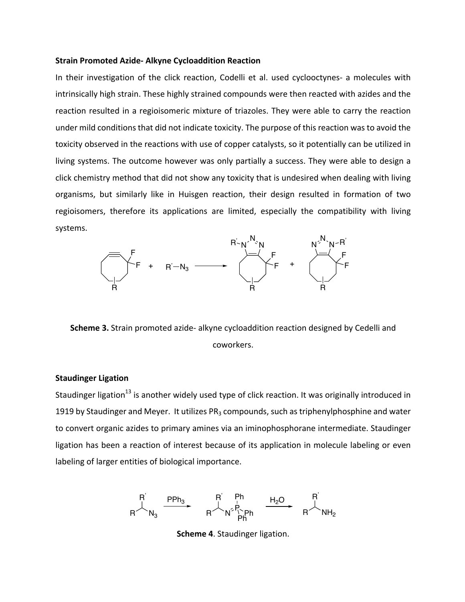## **Strain Promoted Azide- Alkyne Cycloaddition Reaction**

In their investigation of the click reaction, Codelli et al. used cyclooctynes- a molecules with intrinsically high strain. These highly strained compounds were then reacted with azides and the reaction resulted in a regioisomeric mixture of triazoles. They were able to carry the reaction under mild conditions that did not indicate toxicity. The purpose of this reaction was to avoid the toxicity observed in the reactions with use of copper catalysts, so it potentially can be utilized in living systems. The outcome however was only partially a success. They were able to design a click chemistry method that did not show any toxicity that is undesired when dealing with living organisms, but similarly like in Huisgen reaction, their design resulted in formation of two regioisomers, therefore its applications are limited, especially the compatibility with living systems.



**Scheme 3.** Strain promoted azide- alkyne cycloaddition reaction designed by Cedelli and coworkers. 

## **Staudinger Ligation**

Staudinger ligation<sup>13</sup> is another widely used type of click reaction. It was originally introduced in 1919 by Staudinger and Meyer. It utilizes  $PR_3$  compounds, such as triphenylphosphine and water to convert organic azides to primary amines via an iminophosphorane intermediate. Staudinger ligation has been a reaction of interest because of its application in molecule labeling or even labeling of larger entities of biological importance.

$$
R\overline{\phantom{a}}^{R'}_{}N_3\begin{array}{c} PPh_3\\ \rule{0pt}{5mm}R\overline{\phantom{a}}^{R'}N_3^2\end{array}\begin{array}{c}R\overline{R}^1\\ \rule{0pt}{5mm}R\overline{\phantom{a}}^{Ph}N_1^2P_1^P\\ \rule{0pt}{5mm}Ph\overline{P}^h_1\end{array}\begin{array}{c}H_2O\\ \rule{0pt}{5mm}R\overline{\phantom{a}}^{R'}NH_2\end{array}
$$

**Scheme 4.** Staudinger ligation.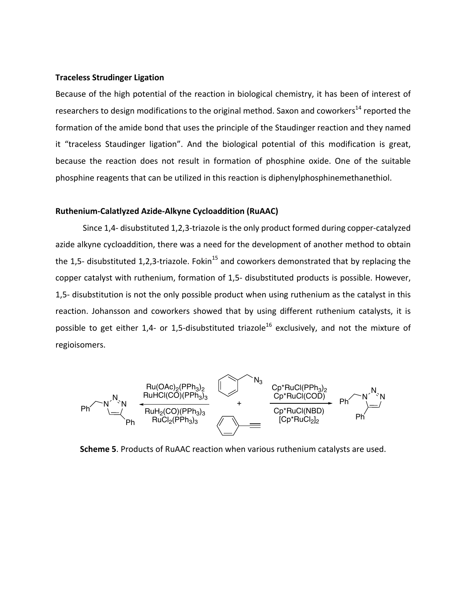## **Traceless Strudinger Ligation**

Because of the high potential of the reaction in biological chemistry, it has been of interest of researchers to design modifications to the original method. Saxon and coworkers<sup>14</sup> reported the formation of the amide bond that uses the principle of the Staudinger reaction and they named it "traceless Staudinger ligation". And the biological potential of this modification is great, because the reaction does not result in formation of phosphine oxide. One of the suitable phosphine reagents that can be utilized in this reaction is diphenylphosphinemethanethiol.

## **Ruthenium-Calatlyzed Azide-Alkyne Cycloaddition (RuAAC)**

Since 1,4- disubstituted 1,2,3-triazole is the only product formed during copper-catalyzed azide alkyne cycloaddition, there was a need for the development of another method to obtain the 1,5- disubstituted 1,2,3-triazole. Fokin<sup>15</sup> and coworkers demonstrated that by replacing the copper catalyst with ruthenium, formation of 1,5- disubstituted products is possible. However, 1,5- disubstitution is not the only possible product when using ruthenium as the catalyst in this reaction. Johansson and coworkers showed that by using different ruthenium catalysts, it is possible to get either 1,4- or 1,5-disubstituted triazole<sup>16</sup> exclusively, and not the mixture of regioisomers. 



**Scheme 5**. Products of RuAAC reaction when various ruthenium catalysts are used.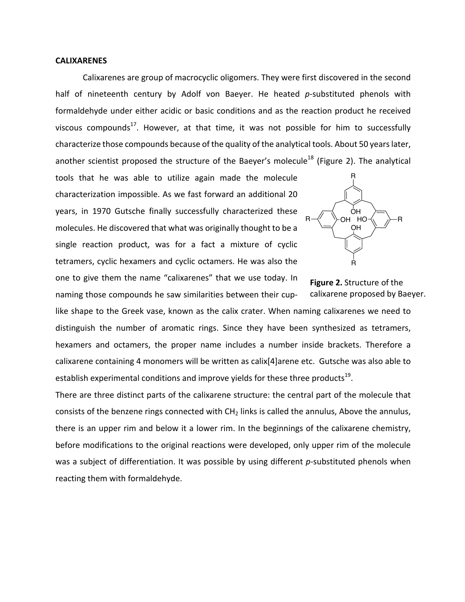## **CALIXARENES**

Calixarenes are group of macrocyclic oligomers. They were first discovered in the second half of nineteenth century by Adolf von Baeyer. He heated *p*-substituted phenols with formaldehyde under either acidic or basic conditions and as the reaction product he received viscous compounds<sup>17</sup>. However, at that time, it was not possible for him to successfully characterize those compounds because of the quality of the analytical tools. About 50 years later, another scientist proposed the structure of the Baeyer's molecule<sup>18</sup> (Figure 2). The analytical

tools that he was able to utilize again made the molecule characterization impossible. As we fast forward an additional 20 years, in 1970 Gutsche finally successfully characterized these molecules. He discovered that what was originally thought to be a single reaction product, was for a fact a mixture of cyclic tetramers, cyclic hexamers and cyclic octamers. He was also the one to give them the name "calixarenes" that we use today. In naming those compounds he saw similarities between their cup-



**Figure 2.** Structure of the calixarene proposed by Baeyer.

like shape to the Greek vase, known as the calix crater. When naming calixarenes we need to distinguish the number of aromatic rings. Since they have been synthesized as tetramers, hexamers and octamers, the proper name includes a number inside brackets. Therefore a calixarene containing 4 monomers will be written as calix[4]arene etc. Gutsche was also able to establish experimental conditions and improve yields for these three products<sup>19</sup>.

There are three distinct parts of the calixarene structure: the central part of the molecule that consists of the benzene rings connected with  $CH<sub>2</sub>$  links is called the annulus, Above the annulus, there is an upper rim and below it a lower rim. In the beginnings of the calixarene chemistry, before modifications to the original reactions were developed, only upper rim of the molecule was a subject of differentiation. It was possible by using different *p*-substituted phenols when reacting them with formaldehyde.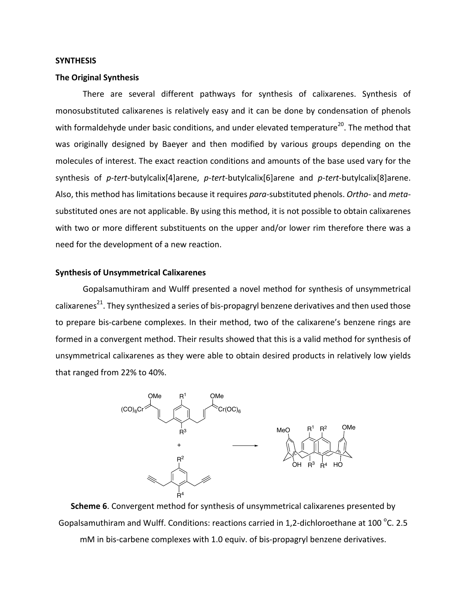#### **SYNTHESIS**

#### **The Original Synthesis**

There are several different pathways for synthesis of calixarenes. Synthesis of monosubstituted calixarenes is relatively easy and it can be done by condensation of phenols with formaldehyde under basic conditions, and under elevated temperature<sup>20</sup>. The method that was originally designed by Baeyer and then modified by various groups depending on the molecules of interest. The exact reaction conditions and amounts of the base used vary for the synthesis of *p-tert*-butylcalix[4]arene, *p-tert*-butylcalix[6]arene and *p-tert*-butylcalix[8]arene. Also, this method has limitations because it requires *para*-substituted phenols. Ortho- and metasubstituted ones are not applicable. By using this method, it is not possible to obtain calixarenes with two or more different substituents on the upper and/or lower rim therefore there was a need for the development of a new reaction.

#### **Synthesis of Unsymmetrical Calixarenes**

Gopalsamuthiram and Wulff presented a novel method for synthesis of unsymmetrical calixarenes<sup>21</sup>. They synthesized a series of bis-propagryl benzene derivatives and then used those to prepare bis-carbene complexes. In their method, two of the calixarene's benzene rings are formed in a convergent method. Their results showed that this is a valid method for synthesis of unsymmetrical calixarenes as they were able to obtain desired products in relatively low yields that ranged from 22% to 40%.



**Scheme 6**. Convergent method for synthesis of unsymmetrical calixarenes presented by Gopalsamuthiram and Wulff. Conditions: reactions carried in 1,2-dichloroethane at 100 °C. 2.5  $m$ M in bis-carbene complexes with 1.0 equiv. of bis-propagryl benzene derivatives.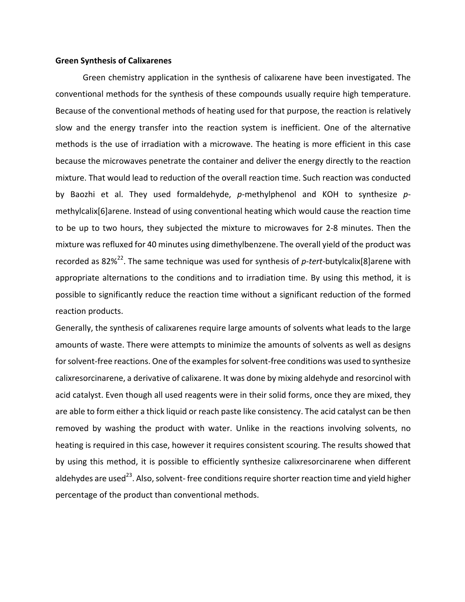#### **Green Synthesis of Calixarenes**

Green chemistry application in the synthesis of calixarene have been investigated. The conventional methods for the synthesis of these compounds usually require high temperature. Because of the conventional methods of heating used for that purpose, the reaction is relatively slow and the energy transfer into the reaction system is inefficient. One of the alternative methods is the use of irradiation with a microwave. The heating is more efficient in this case because the microwaves penetrate the container and deliver the energy directly to the reaction mixture. That would lead to reduction of the overall reaction time. Such reaction was conducted by Baozhi et al. They used formaldehyde, p-methylphenol and KOH to synthesize pmethylcalix[6]arene. Instead of using conventional heating which would cause the reaction time to be up to two hours, they subjected the mixture to microwaves for 2-8 minutes. Then the mixture was refluxed for 40 minutes using dimethylbenzene. The overall yield of the product was recorded as 82%<sup>22</sup>. The same technique was used for synthesis of *p-tert-*butylcalix[8]arene with appropriate alternations to the conditions and to irradiation time. By using this method, it is possible to significantly reduce the reaction time without a significant reduction of the formed reaction products.

Generally, the synthesis of calixarenes require large amounts of solvents what leads to the large amounts of waste. There were attempts to minimize the amounts of solvents as well as designs for solvent-free reactions. One of the examples for solvent-free conditions was used to synthesize calixresorcinarene, a derivative of calixarene. It was done by mixing aldehyde and resorcinol with acid catalyst. Even though all used reagents were in their solid forms, once they are mixed, they are able to form either a thick liquid or reach paste like consistency. The acid catalyst can be then removed by washing the product with water. Unlike in the reactions involving solvents, no heating is required in this case, however it requires consistent scouring. The results showed that by using this method, it is possible to efficiently synthesize calixresorcinarene when different aldehydes are used<sup>23</sup>. Also, solvent- free conditions require shorter reaction time and yield higher percentage of the product than conventional methods.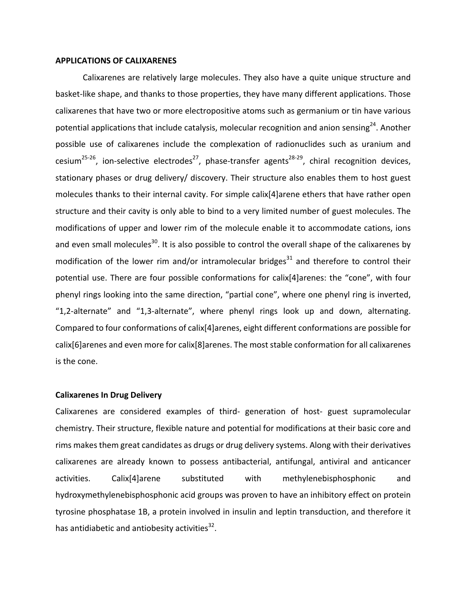#### **APPLICATIONS OF CALIXARENES**

Calixarenes are relatively large molecules. They also have a quite unique structure and basket-like shape, and thanks to those properties, they have many different applications. Those calixarenes that have two or more electropositive atoms such as germanium or tin have various potential applications that include catalysis, molecular recognition and anion sensing<sup>24</sup>. Another possible use of calixarenes include the complexation of radionuclides such as uranium and cesium<sup>25-26</sup>, ion-selective electrodes<sup>27</sup>, phase-transfer agents<sup>28-29</sup>, chiral recognition devices, stationary phases or drug delivery/ discovery. Their structure also enables them to host guest molecules thanks to their internal cavity. For simple calix[4]arene ethers that have rather open structure and their cavity is only able to bind to a very limited number of guest molecules. The modifications of upper and lower rim of the molecule enable it to accommodate cations, ions and even small molecules<sup>30</sup>. It is also possible to control the overall shape of the calixarenes by modification of the lower rim and/or intramolecular bridges $31$  and therefore to control their potential use. There are four possible conformations for calix[4]arenes: the "cone", with four phenyl rings looking into the same direction, "partial cone", where one phenyl ring is inverted, "1,2-alternate" and "1,3-alternate", where phenyl rings look up and down, alternating. Compared to four conformations of calix[4]arenes, eight different conformations are possible for calix[6]arenes and even more for calix[8]arenes. The most stable conformation for all calixarenes is the cone.

#### **Calixarenes In Drug Delivery**

Calixarenes are considered examples of third- generation of host- guest supramolecular chemistry. Their structure, flexible nature and potential for modifications at their basic core and rims makes them great candidates as drugs or drug delivery systems. Along with their derivatives calixarenes are already known to possess antibacterial, antifungal, antiviral and anticancer activities. Calix[4]arene substituted with methylenebisphosphonic and hydroxymethylenebisphosphonic acid groups was proven to have an inhibitory effect on protein tyrosine phosphatase 1B, a protein involved in insulin and leptin transduction, and therefore it has antidiabetic and antiobesity activities<sup>32</sup>.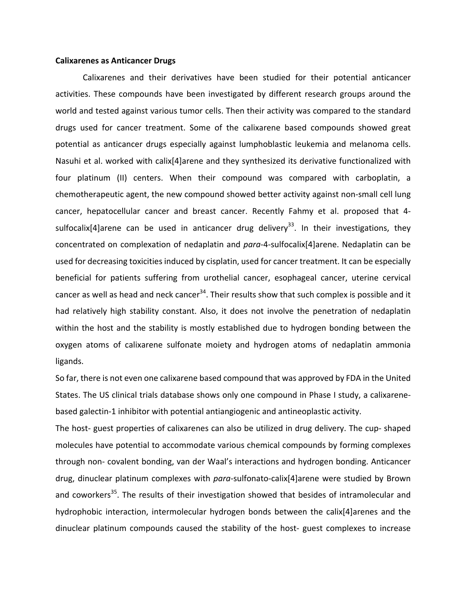#### **Calixarenes as Anticancer Drugs**

Calixarenes and their derivatives have been studied for their potential anticancer activities. These compounds have been investigated by different research groups around the world and tested against various tumor cells. Then their activity was compared to the standard drugs used for cancer treatment. Some of the calixarene based compounds showed great potential as anticancer drugs especially against lumphoblastic leukemia and melanoma cells. Nasuhi et al. worked with calix[4]arene and they synthesized its derivative functionalized with four platinum (II) centers. When their compound was compared with carboplatin, a chemotherapeutic agent, the new compound showed better activity against non-small cell lung cancer, hepatocellular cancer and breast cancer. Recently Fahmy et al. proposed that 4sulfocalix[4]arene can be used in anticancer drug delivery<sup>33</sup>. In their investigations, they concentrated on complexation of nedaplatin and *para-4-sulfocalix[4]arene.* Nedaplatin can be used for decreasing toxicities induced by cisplatin, used for cancer treatment. It can be especially beneficial for patients suffering from urothelial cancer, esophageal cancer, uterine cervical cancer as well as head and neck cancer<sup>34</sup>. Their results show that such complex is possible and it had relatively high stability constant. Also, it does not involve the penetration of nedaplatin within the host and the stability is mostly established due to hydrogen bonding between the oxygen atoms of calixarene sulfonate moiety and hydrogen atoms of nedaplatin ammonia ligands.

So far, there is not even one calixarene based compound that was approved by FDA in the United States. The US clinical trials database shows only one compound in Phase I study, a calixarenebased galectin-1 inhibitor with potential antiangiogenic and antineoplastic activity.

The host- guest properties of calixarenes can also be utilized in drug delivery. The cup- shaped molecules have potential to accommodate various chemical compounds by forming complexes through non- covalent bonding, van der Waal's interactions and hydrogen bonding. Anticancer drug, dinuclear platinum complexes with *para-*sulfonato-calix[4]arene were studied by Brown and coworkers<sup>35</sup>. The results of their investigation showed that besides of intramolecular and hydrophobic interaction, intermolecular hydrogen bonds between the calix[4]arenes and the dinuclear platinum compounds caused the stability of the host- guest complexes to increase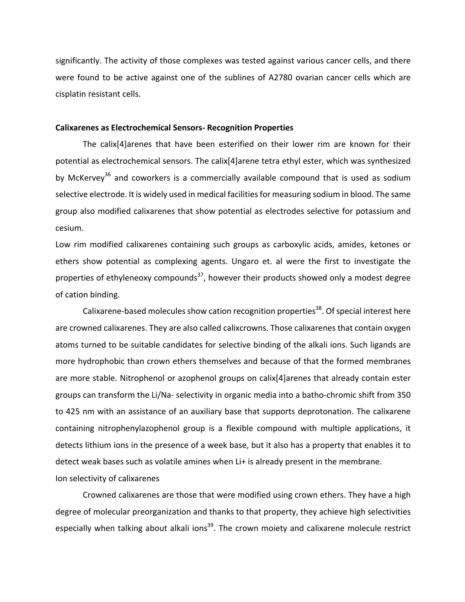significantly. The activity of those complexes was tested against various cancer cells, and there were found to be active against one of the sublines of A2780 ovarian cancer cells which are cisplatin resistant cells.

#### **Calixarenes as Electrochemical Sensors- Recognition Properties**

The calix[4]arenes that have been esterified on their lower rim are known for their potential as electrochemical sensors. The calix[4]arene tetra ethyl ester, which was synthesized by McKervey<sup>36</sup> and coworkers is a commercially available compound that is used as sodium selective electrode. It is widely used in medical facilities for measuring sodium in blood. The same group also modified calixarenes that show potential as electrodes selective for potassium and cesium. 

Low rim modified calixarenes containing such groups as carboxylic acids, amides, ketones or ethers show potential as complexing agents. Ungaro et. al were the first to investigate the properties of ethyleneoxy compounds<sup>37</sup>, however their products showed only a modest degree of cation binding.

Calixarene-based molecules show cation recognition properties<sup>38</sup>. Of special interest here are crowned calixarenes. They are also called calixcrowns. Those calixarenes that contain oxygen atoms turned to be suitable candidates for selective binding of the alkali ions. Such ligands are more hydrophobic than crown ethers themselves and because of that the formed membranes are more stable. Nitrophenol or azophenol groups on calix[4]arenes that already contain ester groups can transform the Li/Na- selectivity in organic media into a batho-chromic shift from 350 to 425 nm with an assistance of an auxiliary base that supports deprotonation. The calixarene containing nitrophenylazophenol group is a flexible compound with multiple applications, it detects lithium ions in the presence of a week base, but it also has a property that enables it to detect weak bases such as volatile amines when Li+ is already present in the membrane. Ion selectivity of calixarenes

Crowned calixarenes are those that were modified using crown ethers. They have a high degree of molecular preorganization and thanks to that property, they achieve high selectivities especially when talking about alkali ions<sup>39</sup>. The crown moiety and calixarene molecule restrict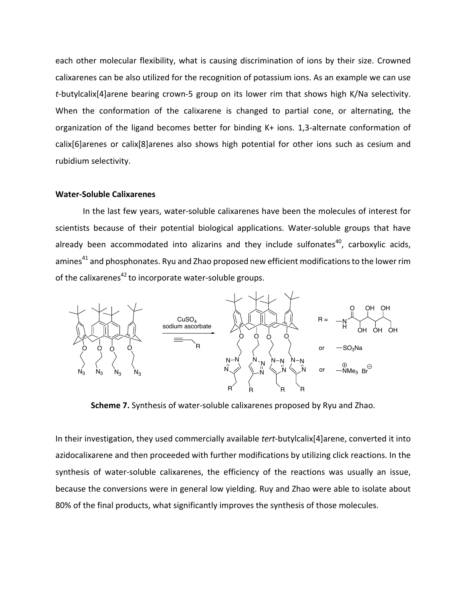each other molecular flexibility, what is causing discrimination of ions by their size. Crowned calixarenes can be also utilized for the recognition of potassium ions. As an example we can use *t*-butylcalix[4]arene bearing crown-5 group on its lower rim that shows high K/Na selectivity. When the conformation of the calixarene is changed to partial cone, or alternating, the organization of the ligand becomes better for binding K+ ions. 1,3-alternate conformation of  $calis[6]$ arenes or calix $[8]$ arenes also shows high potential for other ions such as cesium and rubidium selectivity. 

#### **Water-Soluble Calixarenes**

In the last few years, water-soluble calixarenes have been the molecules of interest for scientists because of their potential biological applications. Water-soluble groups that have already been accommodated into alizarins and they include sulfonates<sup>40</sup>, carboxylic acids, amines<sup>41</sup> and phosphonates. Ryu and Zhao proposed new efficient modifications to the lower rim of the calixarenes $^{42}$  to incorporate water-soluble groups.



**Scheme 7.** Synthesis of water-soluble calixarenes proposed by Ryu and Zhao.

In their investigation, they used commercially available *tert*-butylcalix[4]arene, converted it into azidocalixarene and then proceeded with further modifications by utilizing click reactions. In the synthesis of water-soluble calixarenes, the efficiency of the reactions was usually an issue, because the conversions were in general low yielding. Ruy and Zhao were able to isolate about 80% of the final products, what significantly improves the synthesis of those molecules.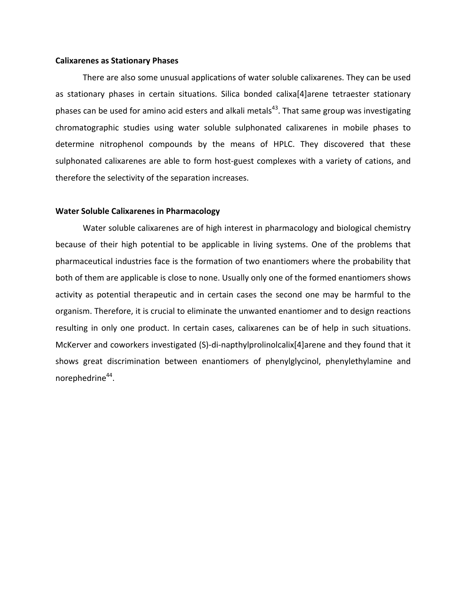#### **Calixarenes as Stationary Phases**

There are also some unusual applications of water soluble calixarenes. They can be used as stationary phases in certain situations. Silica bonded calixa[4]arene tetraester stationary phases can be used for amino acid esters and alkali metals<sup>43</sup>. That same group was investigating chromatographic studies using water soluble sulphonated calixarenes in mobile phases to determine nitrophenol compounds by the means of HPLC. They discovered that these sulphonated calixarenes are able to form host-guest complexes with a variety of cations, and therefore the selectivity of the separation increases.

#### **Water Soluble Calixarenes in Pharmacology**

Water soluble calixarenes are of high interest in pharmacology and biological chemistry because of their high potential to be applicable in living systems. One of the problems that pharmaceutical industries face is the formation of two enantiomers where the probability that both of them are applicable is close to none. Usually only one of the formed enantiomers shows activity as potential therapeutic and in certain cases the second one may be harmful to the organism. Therefore, it is crucial to eliminate the unwanted enantiomer and to design reactions resulting in only one product. In certain cases, calixarenes can be of help in such situations. McKerver and coworkers investigated (S)-di-napthylprolinolcalix[4]arene and they found that it shows great discrimination between enantiomers of phenylglycinol, phenylethylamine and norephedrine<sup>44</sup>.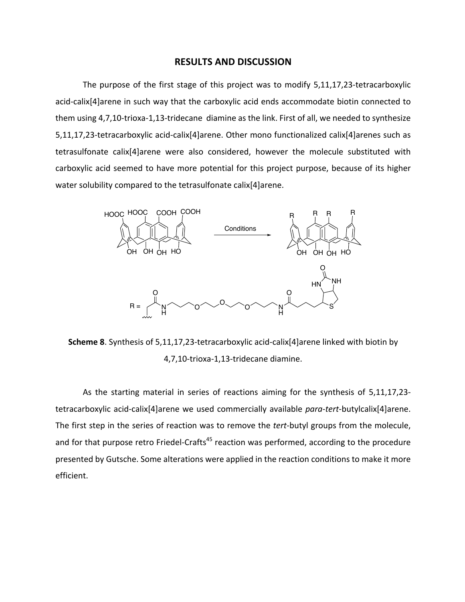## **RESULTS AND DISCUSSION**

The purpose of the first stage of this project was to modify 5,11,17,23-tetracarboxylic acid-calix[4]arene in such way that the carboxylic acid ends accommodate biotin connected to them using 4,7,10-trioxa-1,13-tridecane diamine as the link. First of all, we needed to synthesize 5,11,17,23-tetracarboxylic acid-calix[4]arene. Other mono functionalized calix[4]arenes such as tetrasulfonate calix[4]arene were also considered, however the molecule substituted with carboxylic acid seemed to have more potential for this project purpose, because of its higher water solubility compared to the tetrasulfonate calix[4]arene.



**Scheme 8**. Synthesis of 5,11,17,23-tetracarboxylic acid-calix[4]arene linked with biotin by 4,7,10-trioxa-1,13-tridecane diamine.

As the starting material in series of reactions aiming for the synthesis of 5,11,17,23tetracarboxylic acid-calix[4]arene we used commercially available *para-tert-butylcalix*[4]arene. The first step in the series of reaction was to remove the *tert*-butyl groups from the molecule, and for that purpose retro Friedel-Crafts<sup>45</sup> reaction was performed, according to the procedure presented by Gutsche. Some alterations were applied in the reaction conditions to make it more efficient.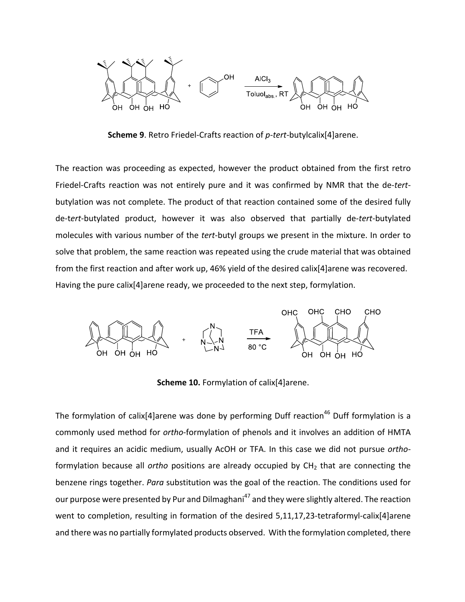

**Scheme 9.** Retro Friedel-Crafts reaction of *p-tert*-butylcalix[4]arene.

The reaction was proceeding as expected, however the product obtained from the first retro Friedel-Crafts reaction was not entirely pure and it was confirmed by NMR that the de-tertbutylation was not complete. The product of that reaction contained some of the desired fully de-t*ert*-butylated product, however it was also observed that partially de-*tert*-butylated molecules with various number of the *tert*-butyl groups we present in the mixture. In order to solve that problem, the same reaction was repeated using the crude material that was obtained from the first reaction and after work up, 46% yield of the desired calix[4]arene was recovered. Having the pure calix[4]arene ready, we proceeded to the next step, formylation.



**Scheme 10.** Formylation of calix[4]arene.

The formylation of calix[4]arene was done by performing Duff reaction<sup>46</sup> Duff formylation is a commonly used method for *ortho-formylation* of phenols and it involves an addition of HMTA and it requires an acidic medium, usually AcOH or TFA. In this case we did not pursue orthoformylation because all *ortho* positions are already occupied by CH<sub>2</sub> that are connecting the benzene rings together. *Para* substitution was the goal of the reaction. The conditions used for our purpose were presented by Pur and Dilmaghani<sup>47</sup> and they were slightly altered. The reaction went to completion, resulting in formation of the desired  $5,11,17,23$ -tetraformyl-calix[4]arene and there was no partially formylated products observed. With the formylation completed, there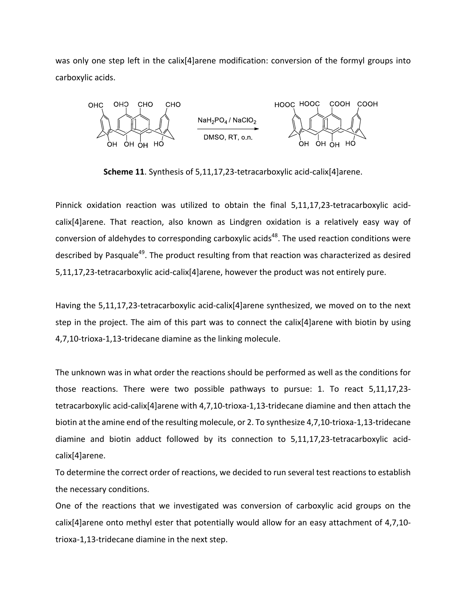was only one step left in the calix[4]arene modification: conversion of the formyl groups into carboxylic acids.



**Scheme 11**. Synthesis of 5,11,17,23-tetracarboxylic acid-calix[4]arene.

Pinnick oxidation reaction was utilized to obtain the final 5,11,17,23-tetracarboxylic acidcalix[4]arene. That reaction, also known as Lindgren oxidation is a relatively easy way of conversion of aldehydes to corresponding carboxylic acids<sup>48</sup>. The used reaction conditions were described by Pasquale<sup>49</sup>. The product resulting from that reaction was characterized as desired 5,11,17,23-tetracarboxylic acid-calix[4]arene, however the product was not entirely pure.

Having the 5,11,17,23-tetracarboxylic acid-calix[4]arene synthesized, we moved on to the next step in the project. The aim of this part was to connect the calix[4]arene with biotin by using 4,7,10-trioxa-1,13-tridecane diamine as the linking molecule.

The unknown was in what order the reactions should be performed as well as the conditions for those reactions. There were two possible pathways to pursue: 1. To react 5,11,17,23tetracarboxylic acid-calix[4]arene with 4,7,10-trioxa-1,13-tridecane diamine and then attach the biotin at the amine end of the resulting molecule, or 2. To synthesize 4,7,10-trioxa-1,13-tridecane diamine and biotin adduct followed by its connection to 5,11,17,23-tetracarboxylic acidcalix[4]arene.

To determine the correct order of reactions, we decided to run several test reactions to establish the necessary conditions.

One of the reactions that we investigated was conversion of carboxylic acid groups on the calix[4]arene onto methyl ester that potentially would allow for an easy attachment of  $4,7,10$ trioxa-1,13-tridecane diamine in the next step.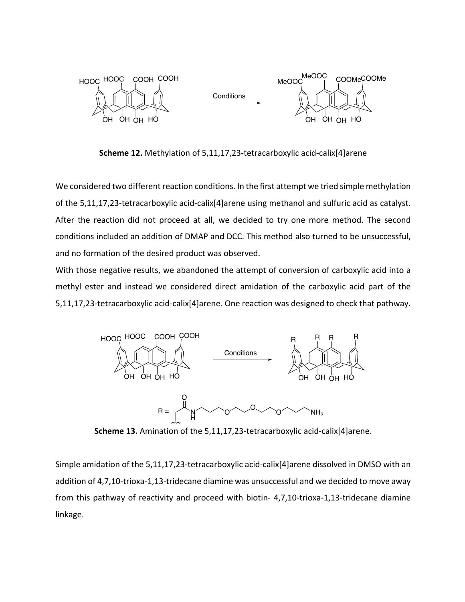

**Scheme 12.** Methylation of 5,11,17,23-tetracarboxylic acid-calix[4]arene

We considered two different reaction conditions. In the first attempt we tried simple methylation of the 5,11,17,23-tetracarboxylic acid-calix[4]arene using methanol and sulfuric acid as catalyst. After the reaction did not proceed at all, we decided to try one more method. The second conditions included an addition of DMAP and DCC. This method also turned to be unsuccessful, and no formation of the desired product was observed.

With those negative results, we abandoned the attempt of conversion of carboxylic acid into a methyl ester and instead we considered direct amidation of the carboxylic acid part of the 5,11,17,23-tetracarboxylic acid-calix[4]arene. One reaction was designed to check that pathway.



**Scheme 13.** Amination of the 5,11,17,23-tetracarboxylic acid-calix[4]arene.

Simple amidation of the  $5,11,17,23$ -tetracarboxylic acid-calix[4]arene dissolved in DMSO with an addition of 4,7,10-trioxa-1,13-tridecane diamine was unsuccessful and we decided to move away from this pathway of reactivity and proceed with biotin- 4,7,10-trioxa-1,13-tridecane diamine linkage.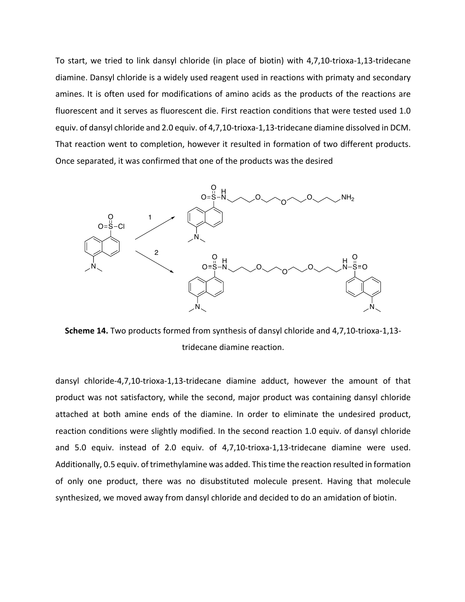To start, we tried to link dansyl chloride (in place of biotin) with 4,7,10-trioxa-1,13-tridecane diamine. Dansyl chloride is a widely used reagent used in reactions with primaty and secondary amines. It is often used for modifications of amino acids as the products of the reactions are fluorescent and it serves as fluorescent die. First reaction conditions that were tested used 1.0 equiv. of dansyl chloride and 2.0 equiv. of 4,7,10-trioxa-1,13-tridecane diamine dissolved in DCM. That reaction went to completion, however it resulted in formation of two different products. Once separated, it was confirmed that one of the products was the desired



**Scheme 14.** Two products formed from synthesis of dansyl chloride and 4,7,10-trioxa-1,13tridecane diamine reaction.

dansyl chloride-4,7,10-trioxa-1,13-tridecane diamine adduct, however the amount of that product was not satisfactory, while the second, major product was containing dansyl chloride attached at both amine ends of the diamine. In order to eliminate the undesired product, reaction conditions were slightly modified. In the second reaction 1.0 equiv. of dansyl chloride and 5.0 equiv. instead of 2.0 equiv. of 4,7,10-trioxa-1,13-tridecane diamine were used. Additionally, 0.5 equiv. of trimethylamine was added. This time the reaction resulted in formation of only one product, there was no disubstituted molecule present. Having that molecule synthesized, we moved away from dansyl chloride and decided to do an amidation of biotin.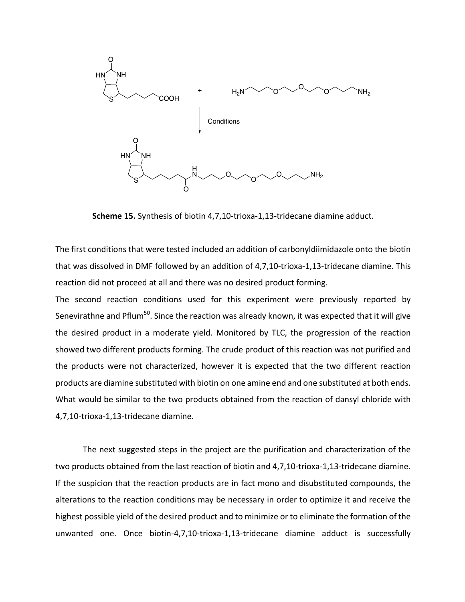

**Scheme 15.** Synthesis of biotin 4,7,10-trioxa-1,13-tridecane diamine adduct.

The first conditions that were tested included an addition of carbonyldiimidazole onto the biotin that was dissolved in DMF followed by an addition of 4,7,10-trioxa-1,13-tridecane diamine. This reaction did not proceed at all and there was no desired product forming.

The second reaction conditions used for this experiment were previously reported by Senevirathne and Pflum<sup>50</sup>. Since the reaction was already known, it was expected that it will give the desired product in a moderate yield. Monitored by TLC, the progression of the reaction showed two different products forming. The crude product of this reaction was not purified and the products were not characterized, however it is expected that the two different reaction products are diamine substituted with biotin on one amine end and one substituted at both ends. What would be similar to the two products obtained from the reaction of dansyl chloride with 4,7,10-trioxa-1,13-tridecane diamine.

The next suggested steps in the project are the purification and characterization of the two products obtained from the last reaction of biotin and 4,7,10-trioxa-1,13-tridecane diamine. If the suspicion that the reaction products are in fact mono and disubstituted compounds, the alterations to the reaction conditions may be necessary in order to optimize it and receive the highest possible yield of the desired product and to minimize or to eliminate the formation of the unwanted one. Once biotin-4,7,10-trioxa-1,13-tridecane diamine adduct is successfully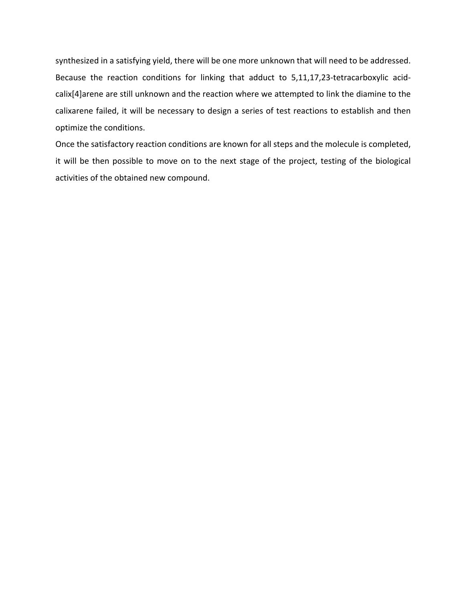synthesized in a satisfying yield, there will be one more unknown that will need to be addressed. Because the reaction conditions for linking that adduct to 5,11,17,23-tetracarboxylic acidcalix[4]arene are still unknown and the reaction where we attempted to link the diamine to the calixarene failed, it will be necessary to design a series of test reactions to establish and then optimize the conditions.

Once the satisfactory reaction conditions are known for all steps and the molecule is completed, it will be then possible to move on to the next stage of the project, testing of the biological activities of the obtained new compound.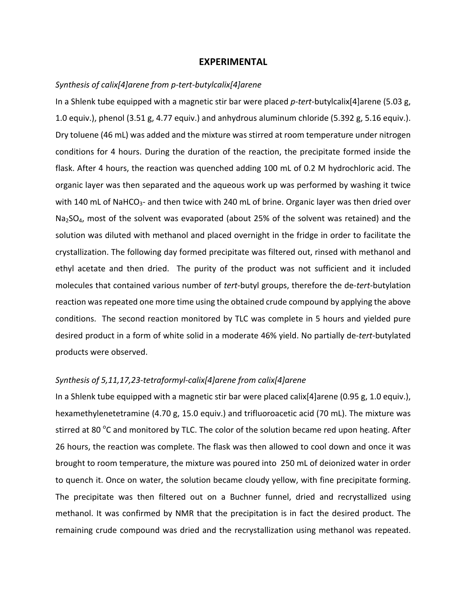## **EXPERIMENTAL**

## Synthesis of calix[4]arene from p-tert-butylcalix[4]arene

In a Shlenk tube equipped with a magnetic stir bar were placed *p-tert*-butylcalix[4]arene (5.03 g, 1.0 equiv.), phenol (3.51 g, 4.77 equiv.) and anhydrous aluminum chloride (5.392 g, 5.16 equiv.). Dry toluene (46 mL) was added and the mixture was stirred at room temperature under nitrogen conditions for 4 hours. During the duration of the reaction, the precipitate formed inside the flask. After 4 hours, the reaction was quenched adding 100 mL of 0.2 M hydrochloric acid. The organic layer was then separated and the aqueous work up was performed by washing it twice with 140 mL of NaHCO<sub>3</sub>- and then twice with 240 mL of brine. Organic layer was then dried over  $Na<sub>2</sub>SO<sub>4</sub>$ , most of the solvent was evaporated (about 25% of the solvent was retained) and the solution was diluted with methanol and placed overnight in the fridge in order to facilitate the crystallization. The following day formed precipitate was filtered out, rinsed with methanol and ethyl acetate and then dried. The purity of the product was not sufficient and it included molecules that contained various number of *tert*-butyl groups, therefore the de-tert-butylation reaction was repeated one more time using the obtained crude compound by applying the above conditions. The second reaction monitored by TLC was complete in 5 hours and yielded pure desired product in a form of white solid in a moderate 46% yield. No partially de-*tert*-butylated products were observed.

## Synthesis of 5,11,17,23-tetraformyl-calix[4]arene from calix[4]arene

In a Shlenk tube equipped with a magnetic stir bar were placed calix[4]arene (0.95 g, 1.0 equiv.), hexamethylenetetramine (4.70 g, 15.0 equiv.) and trifluoroacetic acid (70 mL). The mixture was stirred at 80 °C and monitored by TLC. The color of the solution became red upon heating. After 26 hours, the reaction was complete. The flask was then allowed to cool down and once it was brought to room temperature, the mixture was poured into 250 mL of deionized water in order to quench it. Once on water, the solution became cloudy yellow, with fine precipitate forming. The precipitate was then filtered out on a Buchner funnel, dried and recrystallized using methanol. It was confirmed by NMR that the precipitation is in fact the desired product. The remaining crude compound was dried and the recrystallization using methanol was repeated.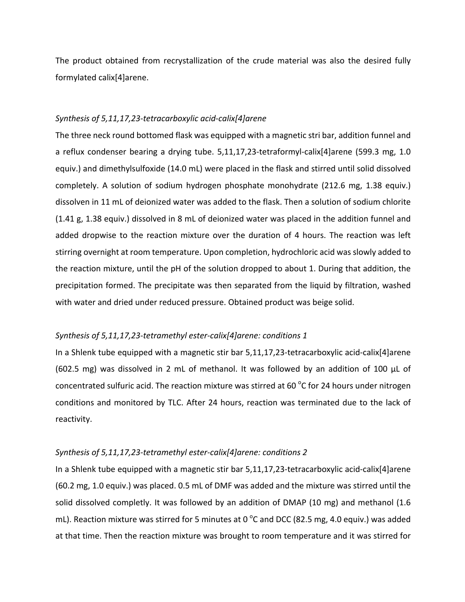The product obtained from recrystallization of the crude material was also the desired fully formylated calix[4]arene.

## *Synthesis of 5,11,17,23-tetracarboxylic acid-calix[4]arene*

The three neck round bottomed flask was equipped with a magnetic stri bar, addition funnel and a reflux condenser bearing a drying tube.  $5,11,17,23$ -tetraformyl-calix[4]arene (599.3 mg, 1.0 equiv.) and dimethylsulfoxide (14.0 mL) were placed in the flask and stirred until solid dissolved completely. A solution of sodium hydrogen phosphate monohydrate (212.6 mg, 1.38 equiv.) dissolven in 11 mL of deionized water was added to the flask. Then a solution of sodium chlorite  $(1.41 \text{ g}, 1.38 \text{ equiv.})$  dissolved in 8 mL of deionized water was placed in the addition funnel and added dropwise to the reaction mixture over the duration of 4 hours. The reaction was left stirring overnight at room temperature. Upon completion, hydrochloric acid was slowly added to the reaction mixture, until the  $pH$  of the solution dropped to about 1. During that addition, the precipitation formed. The precipitate was then separated from the liquid by filtration, washed with water and dried under reduced pressure. Obtained product was beige solid.

## Synthesis of 5,11,17,23-tetramethyl ester-calix[4]arene: conditions 1

In a Shlenk tube equipped with a magnetic stir bar  $5,11,17,23$ -tetracarboxylic acid-calix[4]arene (602.5 mg) was dissolved in 2 mL of methanol. It was followed by an addition of 100  $\mu$ L of concentrated sulfuric acid. The reaction mixture was stirred at 60  $^{\circ}$ C for 24 hours under nitrogen conditions and monitored by TLC. After 24 hours, reaction was terminated due to the lack of reactivity.

## Synthesis of 5,11,17,23-tetramethyl ester-calix[4]arene: conditions 2

In a Shlenk tube equipped with a magnetic stir bar  $5,11,17,23$ -tetracarboxylic acid-calix[4]arene (60.2 mg, 1.0 equiv.) was placed. 0.5 mL of DMF was added and the mixture was stirred until the solid dissolved completly. It was followed by an addition of DMAP (10 mg) and methanol (1.6 mL). Reaction mixture was stirred for 5 minutes at 0  $^{\circ}$ C and DCC (82.5 mg, 4.0 equiv.) was added at that time. Then the reaction mixture was brought to room temperature and it was stirred for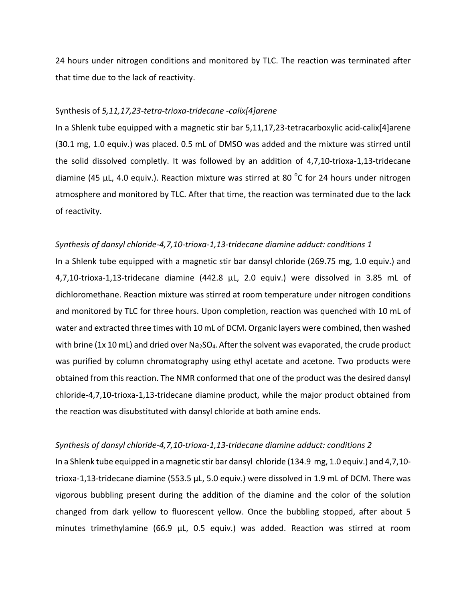24 hours under nitrogen conditions and monitored by TLC. The reaction was terminated after that time due to the lack of reactivity.

#### Synthesis of *5,11,17,23-tetra-trioxa-tridecane -calix[4]arene*

In a Shlenk tube equipped with a magnetic stir bar  $5,11,17,23$ -tetracarboxylic acid-calix[4]arene (30.1 mg, 1.0 equiv.) was placed. 0.5 mL of DMSO was added and the mixture was stirred until the solid dissolved completly. It was followed by an addition of  $4,7,10$ -trioxa-1,13-tridecane diamine (45  $\mu$ L, 4.0 equiv.). Reaction mixture was stirred at 80 °C for 24 hours under nitrogen atmosphere and monitored by TLC. After that time, the reaction was terminated due to the lack of reactivity.

#### *Synthesis of dansyl chloride-4,7,10-trioxa-1,13-tridecane diamine adduct: conditions 1*

In a Shlenk tube equipped with a magnetic stir bar dansyl chloride (269.75 mg, 1.0 equiv.) and 4,7,10-trioxa-1,13-tridecane diamine (442.8 µL, 2.0 equiv.) were dissolved in 3.85 mL of dichloromethane. Reaction mixture was stirred at room temperature under nitrogen conditions and monitored by TLC for three hours. Upon completion, reaction was quenched with 10 mL of water and extracted three times with 10 mL of DCM. Organic layers were combined, then washed with brine (1x 10 mL) and dried over Na<sub>2</sub>SO<sub>4</sub>. After the solvent was evaporated, the crude product was purified by column chromatography using ethyl acetate and acetone. Two products were obtained from this reaction. The NMR conformed that one of the product was the desired dansyl chloride-4,7,10-trioxa-1,13-tridecane diamine product, while the major product obtained from the reaction was disubstituted with dansyl chloride at both amine ends.

#### *Synthesis of dansyl chloride-4,7,10-trioxa-1,13-tridecane diamine adduct: conditions 2*

In a Shlenk tube equipped in a magnetic stir bar dansyl chloride  $(134.9 \text{ mg}, 1.0 \text{ equiv.})$  and  $4.7,10$ trioxa-1,13-tridecane diamine (553.5  $\mu$ L, 5.0 equiv.) were dissolved in 1.9 mL of DCM. There was vigorous bubbling present during the addition of the diamine and the color of the solution changed from dark yellow to fluorescent yellow. Once the bubbling stopped, after about 5 minutes trimethylamine (66.9 µL, 0.5 equiv.) was added. Reaction was stirred at room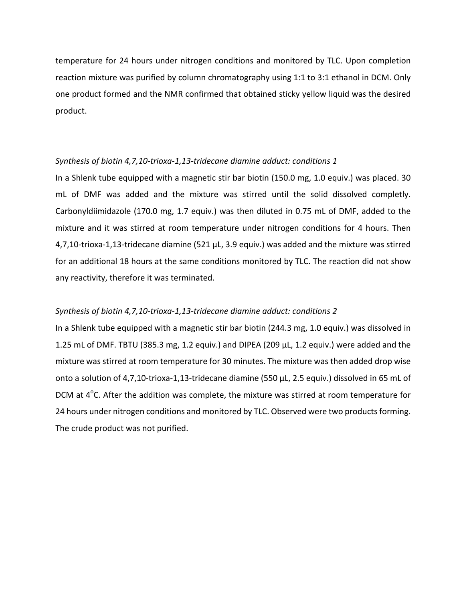temperature for 24 hours under nitrogen conditions and monitored by TLC. Upon completion reaction mixture was purified by column chromatography using  $1:1$  to  $3:1$  ethanol in DCM. Only one product formed and the NMR confirmed that obtained sticky yellow liquid was the desired product. 

#### Synthesis of biotin 4,7,10-trioxa-1,13-tridecane diamine adduct: conditions 1

In a Shlenk tube equipped with a magnetic stir bar biotin  $(150.0 \text{ mg}, 1.0 \text{ equiv.})$  was placed. 30 mL of DMF was added and the mixture was stirred until the solid dissolved completly. Carbonyldiimidazole  $(170.0 \text{ mg}, 1.7 \text{ equiv.})$  was then diluted in 0.75 mL of DMF, added to the mixture and it was stirred at room temperature under nitrogen conditions for 4 hours. Then  $4,7,10$ -trioxa-1,13-tridecane diamine  $(521 \mu L, 3.9 \text{ equiv.})$  was added and the mixture was stirred for an additional 18 hours at the same conditions monitored by TLC. The reaction did not show any reactivity, therefore it was terminated.

## Synthesis of biotin 4,7,10-trioxa-1,13-tridecane diamine adduct: conditions 2

In a Shlenk tube equipped with a magnetic stir bar biotin (244.3 mg, 1.0 equiv.) was dissolved in 1.25 mL of DMF. TBTU (385.3 mg, 1.2 equiv.) and DIPEA (209  $\mu$ L, 1.2 equiv.) were added and the mixture was stirred at room temperature for 30 minutes. The mixture was then added drop wise onto a solution of 4,7,10-trioxa-1,13-tridecane diamine  $(550 \mu L, 2.5 \text{ equiv.})$  dissolved in 65 mL of DCM at  $4^{\circ}$ C. After the addition was complete, the mixture was stirred at room temperature for 24 hours under nitrogen conditions and monitored by TLC. Observed were two products forming. The crude product was not purified.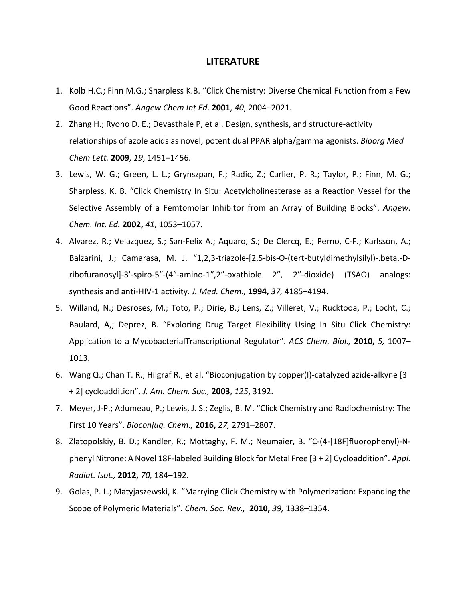## **LITERATURE**

- 1. Kolb H.C.; Finn M.G.; Sharpless K.B. "Click Chemistry: Diverse Chemical Function from a Few Good Reactions". *Angew Chem Int Ed*. **2001**, *40*, 2004–2021.
- 2. Zhang H.; Ryono D. E.; Devasthale P, et al. Design, synthesis, and structure-activity relationships of azole acids as novel, potent dual PPAR alpha/gamma agonists. *Bioorg Med Chem Lett.* **2009**, *19*, 1451–1456.
- 3. Lewis, W. G.; Green, L. L.; Grynszpan, F.; Radic, Z.; Carlier, P. R.; Taylor, P.; Finn, M. G.; Sharpless, K. B. "Click Chemistry In Situ: Acetylcholinesterase as a Reaction Vessel for the Selective Assembly of a Femtomolar Inhibitor from an Array of Building Blocks". Angew. *Chem. Int. Ed.* **2002,** *41*, 1053–1057.
- 4. Alvarez, R.; Velazquez, S.; San-Felix A.; Aquaro, S.; De Clercq, E.; Perno, C-F.; Karlsson, A.; Balzarini, J.; Camarasa, M. J. "1,2,3-triazole-[2,5-bis-O-(tert-butyldimethylsilyl)-.beta.-Dribofuranosyl]-3'-spiro-5"-(4"-amino-1",2"-oxathiole 2", 2"-dioxide) (TSAO) analogs: synthesis and anti-HIV-1 activity. *J. Med. Chem.*, **1994,** 37, 4185-4194.
- 5. Willand, N.; Desroses, M.; Toto, P.; Dirie, B.; Lens, Z.; Villeret, V.; Rucktooa, P.; Locht, C.; Baulard, A,; Deprez, B. "Exploring Drug Target Flexibility Using In Situ Click Chemistry: Application to a MycobacterialTranscriptional Regulator". *ACS Chem. Biol.*, **2010,** 5, 1007– 1013.
- 6. Wang Q.; Chan T. R.; Hilgraf R., et al. "Bioconjugation by copper(I)-catalyzed azide-alkyne [3] + 2] cycloaddition". *J. Am. Chem. Soc.,* **2003**, *125*, 3192.
- 7. Meyer, J-P.; Adumeau, P.; Lewis, J. S.; Zeglis, B. M. "Click Chemistry and Radiochemistry: The First 10 Years". *Bioconjug. Chem.,* **2016,** *27,* 2791–2807.
- 8. Zlatopolskiy, B. D.; Kandler, R.; Mottaghy, F. M.; Neumaier, B. "C-(4-[18F]fluorophenyl)-Nphenyl Nitrone: A Novel 18F-labeled Building Block for Metal Free [3 + 2] Cycloaddition". Appl. *Radiat. Isot.,* **2012,** *70,* 184–192.
- 9. Golas, P. L.; Matyjaszewski, K. "Marrying Click Chemistry with Polymerization: Expanding the Scope of Polymeric Materials". Chem. Soc. Rev., **2010,** 39, 1338–1354.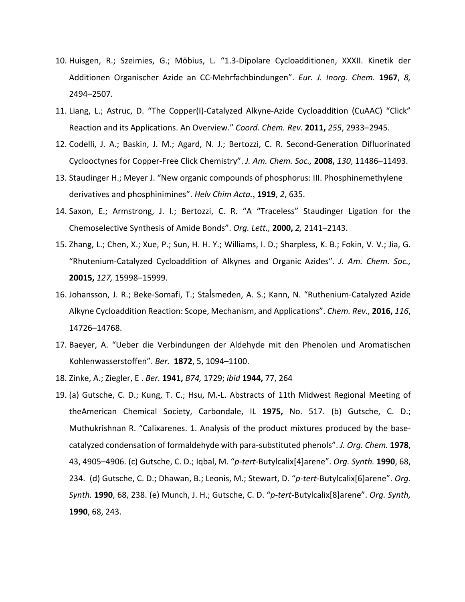- 10. Huisgen, R.; Szeimies, G.; Möbius, L. "1.3-Dipolare Cycloadditionen, XXXII. Kinetik der Additionen Organischer Azide an CC-Mehrfachbindungen". *Eur. J. Inorg. Chem.* **1967**, *8*, 2494–2507.
- 11. Liang, L.; Astruc, D. "The Copper(I)-Catalyzed Alkyne-Azide Cycloaddition (CuAAC) "Click" Reaction and its Applications. An Overview." Coord. Chem. Rev. 2011, 255, 2933-2945.
- 12. Codelli, J. A.; Baskin, J. M.; Agard, N. J.; Bertozzi, C. R. Second-Generation Difluorinated Cyclooctynes for Copper-Free Click Chemistry". J. Am. Chem. Soc., **2008,** 130, 11486–11493.
- 13. Staudinger H.; Meyer J. "New organic compounds of phosphorus: III. Phosphinemethylene derivatives and phosphinimines". Helv Chim Acta., **1919**, 2, 635.
- 14. Saxon, E.; Armstrong, J. I.; Bertozzi, C. R. "A "Traceless" Staudinger Ligation for the Chemoselective Synthesis of Amide Bonds". Org. Lett., 2000, 2, 2141–2143.
- 15. Zhang, L.; Chen, X.; Xue, P.; Sun, H. H. Y.; Williams, I. D.; Sharpless, K. B.; Fokin, V. V.; Jia, G. "Rhutenium-Catalyzed Cycloaddition of Alkynes and Organic Azides". *J. Am. Chem. Soc.,*  **20015,** *127,* 15998–15999.
- 16. Johansson, J. R.; Beke-Somafi, T.; Stalsmeden, A. S.; Kann, N. "Ruthenium-Catalyzed Azide Alkyne Cycloaddition Reaction: Scope, Mechanism, and Applications". *Chem. Rev.*, **2016,** 116, 14726–14768.
- 17. Baeyer, A. "Ueber die Verbindungen der Aldehyde mit den Phenolen und Aromatischen Kohlenwasserstoffen". *Ber.* **1872**, 5, 1094–1100.
- 18. Zinke, A.; Ziegler, E. *Ber.* **1941,** *B74,* 1729; *ibid* **1944,** 77, 264
- 19. (a) Gutsche, C. D.; Kung, T. C.; Hsu, M.-L. Abstracts of 11th Midwest Regional Meeting of theAmerican Chemical Society, Carbondale, IL **1975,**  No. 517. (b) Gutsche, C. D.; Muthukrishnan R. "Calixarenes. 1. Analysis of the product mixtures produced by the basecatalyzed condensation of formaldehyde with para-substituted phenols". *J. Org. Chem.* **1978**, 43, 4905-4906. (c) Gutsche, C. D.; Iqbal, M. "p-tert-Butylcalix[4]arene". *Org. Synth.* **1990**, 68, 234. (d) Gutsche, C. D.; Dhawan, B.; Leonis, M.; Stewart, D. "*p-tert-*Butylcalix[6]arene". *Org. Synth.* **1990**, 68, 238. (e) Munch, J. H.; Gutsche, C. D. "*p-tert-*Butylcalix[8]arene". *Org. Synth,*  **1990**, 68, 243.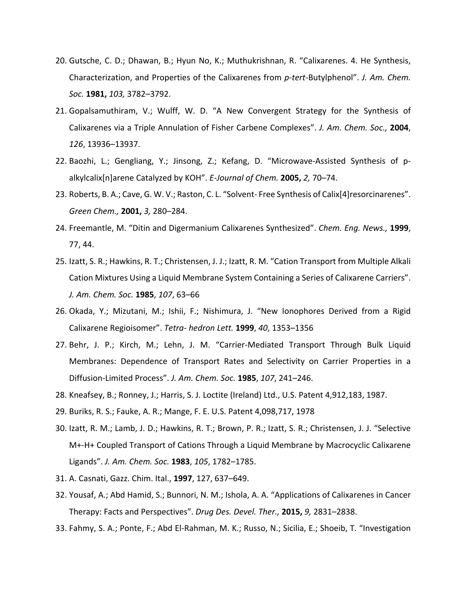- 20. Gutsche, C. D.; Dhawan, B.; Hyun No, K.; Muthukrishnan, R. "Calixarenes. 4. He Synthesis, Characterization, and Properties of the Calixarenes from *p-tert-*Butylphenol". *J. Am. Chem. Soc.* **1981,** *103,* 3782–3792.
- 21. Gopalsamuthiram, V.; Wulff, W. D. "A New Convergent Strategy for the Synthesis of Calixarenes via a Triple Annulation of Fisher Carbene Complexes". J. Am. Chem. Soc., 2004, *126*, 13936–13937.
- 22. Baozhi, L.; Gengliang, Y.; Jinsong, Z.; Kefang, D. "Microwave-Assisted Synthesis of palkylcalix[n]arene Catalyzed by KOH". E-Journal of Chem. **2005,** 2, 70–74.
- 23. Roberts, B. A.; Cave, G. W. V.; Raston, C. L. "Solvent- Free Synthesis of Calix[4]resorcinarenes". *Green Chem.,* **2001,** *3,* 280–284.
- 24. Freemantle, M. "Ditin and Digermanium Calixarenes Synthesized". *Chem. Eng. News.*, 1999, 77, 44.
- 25. Izatt, S. R.; Hawkins, R. T.; Christensen, J. J.; Izatt, R. M. "Cation Transport from Multiple Alkali Cation Mixtures Using a Liquid Membrane System Containing a Series of Calixarene Carriers". *J. Am. Chem. Soc.* **1985**, *107*, 63–66
- 26. Okada, Y.; Mizutani, M.; Ishii, F.; Nishimura, J. "New Ionophores Derived from a Rigid Calixarene Regioisomer". *Tetra- hedron Lett.* **1999**, *40*, 1353–1356
- 27. Behr, J. P.; Kirch, M.; Lehn, J. M. "Carrier-Mediated Transport Through Bulk Liquid Membranes: Dependence of Transport Rates and Selectivity on Carrier Properties in a Diffusion-Limited Process". *J. Am. Chem. Soc.* **1985**, *107*, 241–246.
- 28. Kneafsey, B.; Ronney, J.; Harris, S. J. Loctite (Ireland) Ltd., U.S. Patent 4,912,183, 1987.
- 29. Buriks, R. S.; Fauke, A. R.; Mange, F. E. U.S. Patent 4,098,717, 1978
- 30. Izatt, R. M.; Lamb, J. D.; Hawkins, R. T.; Brown, P. R.; Izatt, S. R.; Christensen, J. J. "Selective M+-H+ Coupled Transport of Cations Through a Liquid Membrane by Macrocyclic Calixarene Ligands". *J. Am. Chem. Soc.* **1983**, *105*, 1782–1785.
- 31. A. Casnati, Gazz. Chim. Ital., **1997**, 127, 637–649.
- 32. Yousaf, A.; Abd Hamid, S.; Bunnori, N. M.; Ishola, A. A. "Applications of Calixarenes in Cancer Therapy: Facts and Perspectives". *Drug Des. Devel. Ther.*, **2015,** 9, 2831–2838.
- 33. Fahmy, S. A.; Ponte, F.; Abd El-Rahman, M. K.; Russo, N.; Sicilia, E.; Shoeib, T. "Investigation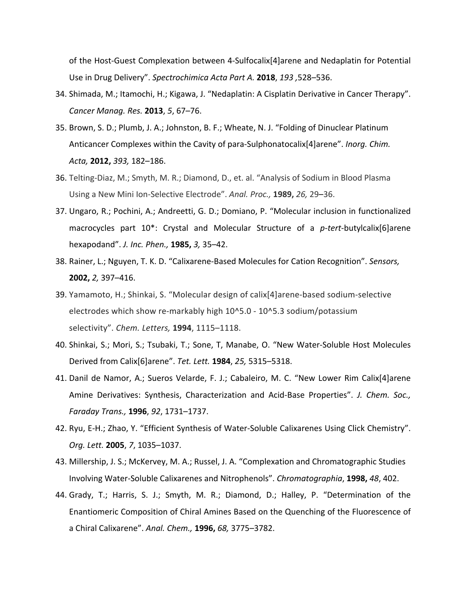of the Host-Guest Complexation between 4-Sulfocalix[4]arene and Nedaplatin for Potential Use in Drug Delivery". Spectrochimica Acta Part A. 2018, 193, 528-536.

- 34. Shimada, M.; Itamochi, H.; Kigawa, J. "Nedaplatin: A Cisplatin Derivative in Cancer Therapy". *Cancer Manag. Res.* **2013**, *5*, 67–76.
- 35. Brown, S. D.; Plumb, J. A.; Johnston, B. F.; Wheate, N. J. "Folding of Dinuclear Platinum Anticancer Complexes within the Cavity of para-Sulphonatocalix<sup>[4]</sup>arene". *Inorg. Chim. Acta,* **2012,** *393,* 182–186.
- 36. Telting-Diaz, M.; Smyth, M. R.; Diamond, D., et. al. "Analysis of Sodium in Blood Plasma Using a New Mini Ion-Selective Electrode". Anal. Proc., **1989,** 26, 29-36.
- 37. Ungaro, R.; Pochini, A.; Andreetti, G. D.; Domiano, P. "Molecular inclusion in functionalized macrocycles part 10<sup>\*</sup>: Crystal and Molecular Structure of a *p-tert-*butylcalix[6]arene hexapodand". *J. Inc. Phen.,* **1985,** *3,* 35–42.
- 38. Rainer, L.; Nguyen, T. K. D. "Calixarene-Based Molecules for Cation Recognition". Sensors, **2002,** 2, 397–416.
- 39. Yamamoto, H.; Shinkai, S. "Molecular design of calix[4]arene-based sodium-selective electrodes which show re-markably high 10^5.0 - 10^5.3 sodium/potassium selectivity". *Chem. Letters,* **1994**, 1115–1118.
- 40. Shinkai, S.; Mori, S.; Tsubaki, T.; Sone, T, Manabe, O. "New Water-Soluble Host Molecules Derived from Calix[6]arene". *Tet. Lett.* **1984**, *25,* 5315–5318.
- 41. Danil de Namor, A.; Sueros Velarde, F. J.; Cabaleiro, M. C. "New Lower Rim Calix[4]arene Amine Derivatives: Synthesis, Characterization and Acid-Base Properties". J. Chem. Soc., *Faraday Trans.,* **1996**, *92*, 1731–1737.
- 42. Ryu, E-H.; Zhao, Y. "Efficient Synthesis of Water-Soluble Calixarenes Using Click Chemistry". *Org. Lett.* **2005**, *7*, 1035–1037.
- 43. Millership, J. S.; McKervey, M. A.; Russel, J. A. "Complexation and Chromatographic Studies Involving Water-Soluble Calixarenes and Nitrophenols". *Chromatographia*, **1998,** 48, 402.
- 44. Grady, T.; Harris, S. J.; Smyth, M. R.; Diamond, D.; Halley, P. "Determination of the Enantiomeric Composition of Chiral Amines Based on the Quenching of the Fluorescence of a Chiral Calixarene". *Anal. Chem.,* **1996,** *68,* 3775–3782.